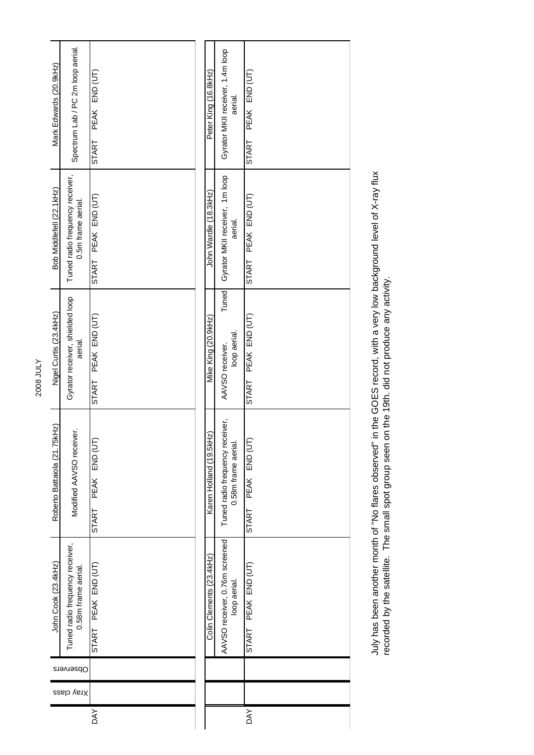| Mark Edwards (20.9kHz)       | Spectrum Lab / PC 2m loop aerial.                      | PEAK END (UT)<br>START | Peter King (16.8kHz)     | Gyrator MKII receiver, 1.4m loop<br>aerial.           | PEAK END (UT)<br>START       |
|------------------------------|--------------------------------------------------------|------------------------|--------------------------|-------------------------------------------------------|------------------------------|
| Bob Middlefell (22.1kHz)     | Tuned radio frequency receiver,<br>0.5m frame aerial.  | PEAK END (UT)<br>START | John Wardle (18.3kHz)    | Gyrator MKII receiver, 1m loop<br>aerial.             | PEAK END (UT)<br>START       |
| Nigel Curtis (23.4kHz)       | Gyrator receiver, shielded loop<br>aerial.             | PEAK END (UT)<br>START | Mike King (20.9kHz)      | Tuned<br>loop aerial.<br>AAVSO receiver.              | PEAK END (UT)<br>START       |
| Roberto Battaiola (21.75kHz) | Modified AAVSO receiver.                               | PEAK END (UT)<br>START | Karen Holland (19.5kHz)  | Tuned radio frequency receiver,<br>0.58m frame aerial | PEAK END (UT<br><b>START</b> |
| John Cook (23.4kHz)          | Tuned radio frequency receiver,<br>0.58m frame aerial. | START PEAK END (UT)    | Colin Clements (23.4kHz) | AAVSO receiver, 0.76m screened<br>loop aerial.        | PEAK END (UT)<br>START       |
|                              | Observers                                              |                        |                          |                                                       |                              |
| Xray class                   |                                                        |                        |                          |                                                       |                              |
|                              |                                                        | DAY                    |                          |                                                       | <b>DAY</b>                   |

July has been another month of "No flares observed" in the GOES record, with a very low background level of X-ray flux<br>recorded by the satellite. The small spot group seen on the 19th. did not produce any activity. July has been another month of "No flares observed" in the GOES record, with a very low background level of X-ray flux recorded by the satellite. The small spot group seen on the 19th. did not produce any activity.

2008 JULY